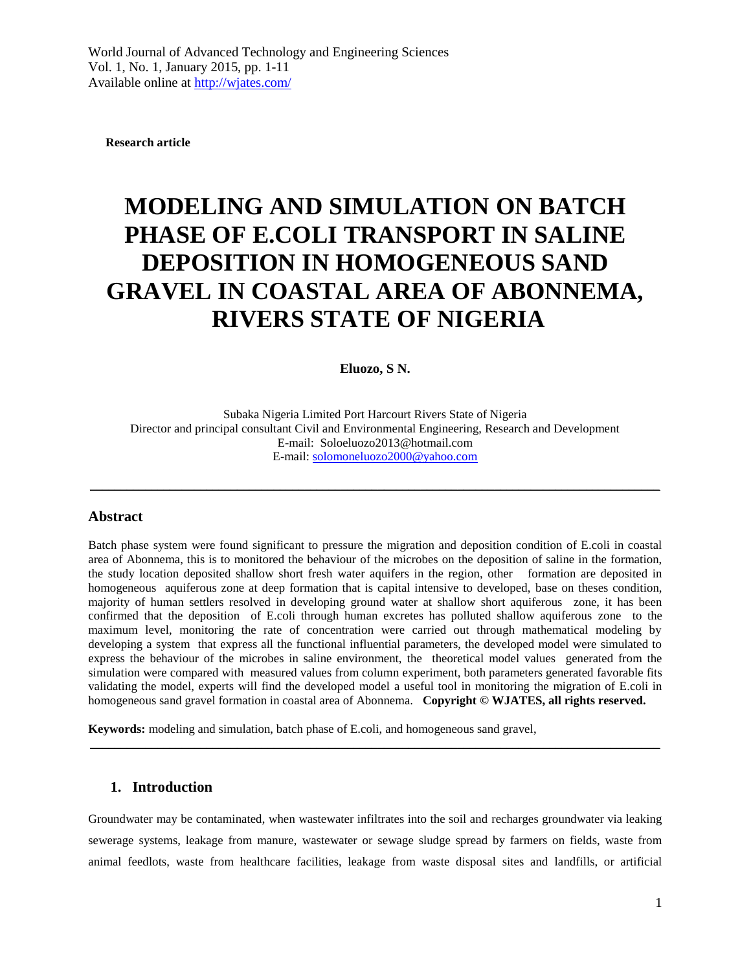**Research article**

# **MODELING AND SIMULATION ON BATCH PHASE OF E.COLI TRANSPORT IN SALINE DEPOSITION IN HOMOGENEOUS SAND GRAVEL IN COASTAL AREA OF ABONNEMA, RIVERS STATE OF NIGERIA**

#### **Eluozo, S N.**

Subaka Nigeria Limited Port Harcourt Rivers State of Nigeria Director and principal consultant Civil and Environmental Engineering, Research and Development E-mail: Soloeluozo2013@hotmail.com E-mail: [solomoneluozo2000@yahoo.com](mailto:solomoneluozo2000@yahoo.com)

\_\_\_\_\_\_\_\_\_\_\_\_\_\_\_\_\_\_\_\_\_\_\_\_\_\_\_\_\_\_\_\_\_\_\_\_\_\_\_\_\_\_\_\_\_\_\_\_\_\_\_\_\_\_\_\_\_\_\_\_\_\_\_\_\_\_\_\_\_\_\_\_\_\_\_\_\_\_\_\_\_\_\_\_\_\_\_\_\_\_\_\_\_

#### **Abstract**

Batch phase system were found significant to pressure the migration and deposition condition of E.coli in coastal area of Abonnema, this is to monitored the behaviour of the microbes on the deposition of saline in the formation, the study location deposited shallow short fresh water aquifers in the region, other formation are deposited in homogeneous aquiferous zone at deep formation that is capital intensive to developed, base on theses condition, majority of human settlers resolved in developing ground water at shallow short aquiferous zone, it has been confirmed that the deposition of E.coli through human excretes has polluted shallow aquiferous zone to the maximum level, monitoring the rate of concentration were carried out through mathematical modeling by developing a system that express all the functional influential parameters, the developed model were simulated to express the behaviour of the microbes in saline environment, the theoretical model values generated from the simulation were compared with measured values from column experiment, both parameters generated favorable fits validating the model, experts will find the developed model a useful tool in monitoring the migration of E.coli in homogeneous sand gravel formation in coastal area of Abonnema. **Copyright © WJATES, all rights reserved.**

**Keywords:** modeling and simulation, batch phase of E.coli, and homogeneous sand gravel,

#### **1. Introduction**

Groundwater may be contaminated, when wastewater infiltrates into the soil and recharges groundwater via leaking sewerage systems, leakage from manure, wastewater or sewage sludge spread by farmers on fields, waste from animal feedlots, waste from healthcare facilities, leakage from waste disposal sites and landfills, or artificial

 $\mathcal{L}_\mathcal{L} = \{ \mathcal{L}_\mathcal{L} = \{ \mathcal{L}_\mathcal{L} = \{ \mathcal{L}_\mathcal{L} = \{ \mathcal{L}_\mathcal{L} = \{ \mathcal{L}_\mathcal{L} = \{ \mathcal{L}_\mathcal{L} = \{ \mathcal{L}_\mathcal{L} = \{ \mathcal{L}_\mathcal{L} = \{ \mathcal{L}_\mathcal{L} = \{ \mathcal{L}_\mathcal{L} = \{ \mathcal{L}_\mathcal{L} = \{ \mathcal{L}_\mathcal{L} = \{ \mathcal{L}_\mathcal{L} = \{ \mathcal{L}_\mathcal{$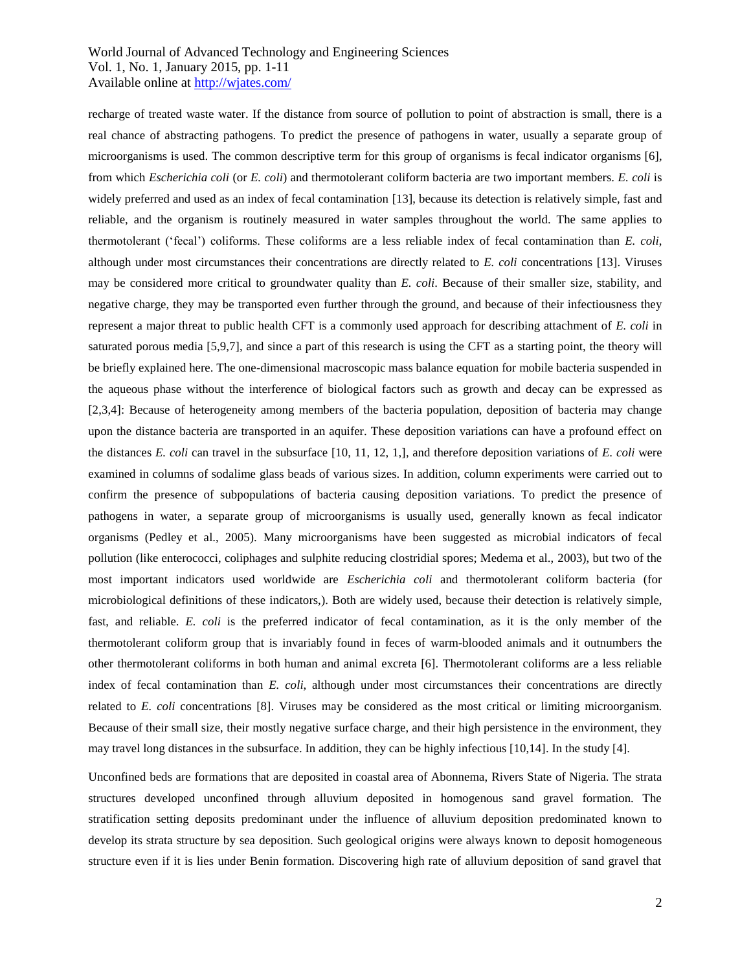recharge of treated waste water. If the distance from source of pollution to point of abstraction is small, there is a real chance of abstracting pathogens. To predict the presence of pathogens in water, usually a separate group of microorganisms is used. The common descriptive term for this group of organisms is fecal indicator organisms [6], from which *Escherichia coli* (or *E. coli*) and thermotolerant coliform bacteria are two important members. *E. coli* is widely preferred and used as an index of fecal contamination [13], because its detection is relatively simple, fast and reliable, and the organism is routinely measured in water samples throughout the world. The same applies to thermotolerant ('fecal') coliforms. These coliforms are a less reliable index of fecal contamination than *E. coli*, although under most circumstances their concentrations are directly related to *E. coli* concentrations [13]. Viruses may be considered more critical to groundwater quality than *E. coli*. Because of their smaller size, stability, and negative charge, they may be transported even further through the ground, and because of their infectiousness they represent a major threat to public health CFT is a commonly used approach for describing attachment of *E. coli* in saturated porous media [5,9,7], and since a part of this research is using the CFT as a starting point, the theory will be briefly explained here. The one-dimensional macroscopic mass balance equation for mobile bacteria suspended in the aqueous phase without the interference of biological factors such as growth and decay can be expressed as [2,3,4]: Because of heterogeneity among members of the bacteria population, deposition of bacteria may change upon the distance bacteria are transported in an aquifer. These deposition variations can have a profound effect on the distances *E. coli* can travel in the subsurface [10, 11, 12, 1,], and therefore deposition variations of *E. coli* were examined in columns of sodalime glass beads of various sizes. In addition, column experiments were carried out to confirm the presence of subpopulations of bacteria causing deposition variations. To predict the presence of pathogens in water, a separate group of microorganisms is usually used, generally known as fecal indicator organisms (Pedley et al., 2005). Many microorganisms have been suggested as microbial indicators of fecal pollution (like enterococci, coliphages and sulphite reducing clostridial spores; Medema et al., 2003), but two of the most important indicators used worldwide are *Escherichia coli* and thermotolerant coliform bacteria (for microbiological definitions of these indicators,). Both are widely used, because their detection is relatively simple, fast, and reliable. *E. coli* is the preferred indicator of fecal contamination, as it is the only member of the thermotolerant coliform group that is invariably found in feces of warm-blooded animals and it outnumbers the other thermotolerant coliforms in both human and animal excreta [6]. Thermotolerant coliforms are a less reliable index of fecal contamination than *E. coli*, although under most circumstances their concentrations are directly related to *E. coli* concentrations [8]. Viruses may be considered as the most critical or limiting microorganism. Because of their small size, their mostly negative surface charge, and their high persistence in the environment, they may travel long distances in the subsurface. In addition, they can be highly infectious [10,14]. In the study [4].

Unconfined beds are formations that are deposited in coastal area of Abonnema, Rivers State of Nigeria. The strata structures developed unconfined through alluvium deposited in homogenous sand gravel formation. The stratification setting deposits predominant under the influence of alluvium deposition predominated known to develop its strata structure by sea deposition. Such geological origins were always known to deposit homogeneous structure even if it is lies under Benin formation. Discovering high rate of alluvium deposition of sand gravel that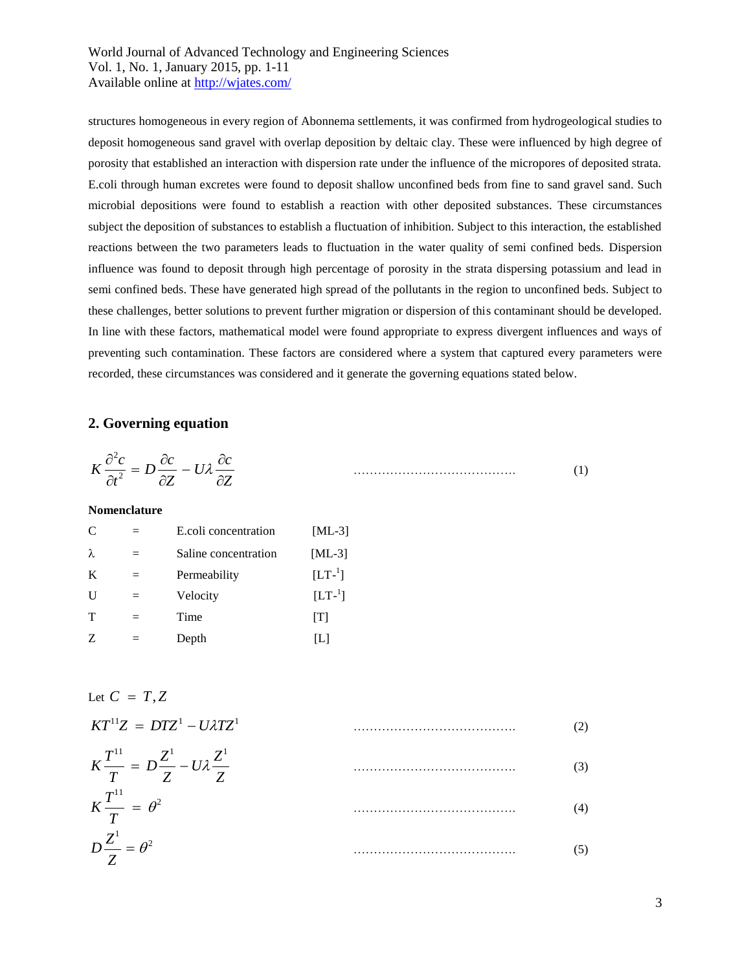structures homogeneous in every region of Abonnema settlements, it was confirmed from hydrogeological studies to deposit homogeneous sand gravel with overlap deposition by deltaic clay. These were influenced by high degree of porosity that established an interaction with dispersion rate under the influence of the micropores of deposited strata. E.coli through human excretes were found to deposit shallow unconfined beds from fine to sand gravel sand. Such microbial depositions were found to establish a reaction with other deposited substances. These circumstances subject the deposition of substances to establish a fluctuation of inhibition. Subject to this interaction, the established reactions between the two parameters leads to fluctuation in the water quality of semi confined beds. Dispersion influence was found to deposit through high percentage of porosity in the strata dispersing potassium and lead in semi confined beds. These have generated high spread of the pollutants in the region to unconfined beds. Subject to these challenges, better solutions to prevent further migration or dispersion of this contaminant should be developed. In line with these factors, mathematical model were found appropriate to express divergent influences and ways of preventing such contamination. These factors are considered where a system that captured every parameters were recorded, these circumstances was considered and it generate the governing equations stated below.

## **2. Governing equation**

$$
K\frac{\partial^2 c}{\partial t^2} = D\frac{\partial c}{\partial Z} - U\lambda \frac{\partial c}{\partial Z}
$$
 (1)

**Nomenclature**

| $\mathcal{C}$ | $=$ | E.coli concentration | $[ML-3]$    |
|---------------|-----|----------------------|-------------|
| λ             | $=$ | Saline concentration | $[ML-3]$    |
| K             | $=$ | Permeability         | $[LT^{-1}]$ |
| $\mathbf{U}$  | $=$ | Velocity             | $[LT^{-1}]$ |
| $\mathbf T$   | $=$ | Time                 | [T]         |
| Z             | $=$ | Depth                | IЫ          |

Let 
$$
C = T, Z
$$
  
\n $KT^{11}Z = DTZ^1 - U\lambda TZ^1$  (2)  
\n $K\frac{T^{11}}{T} = D\frac{Z^1}{Z} - U\lambda \frac{Z^1}{Z}$  (3)  
\n $K\frac{T^{11}}{T} = \theta^2$  (4)  
\n $D\frac{Z^1}{Z} = \theta^2$  (5)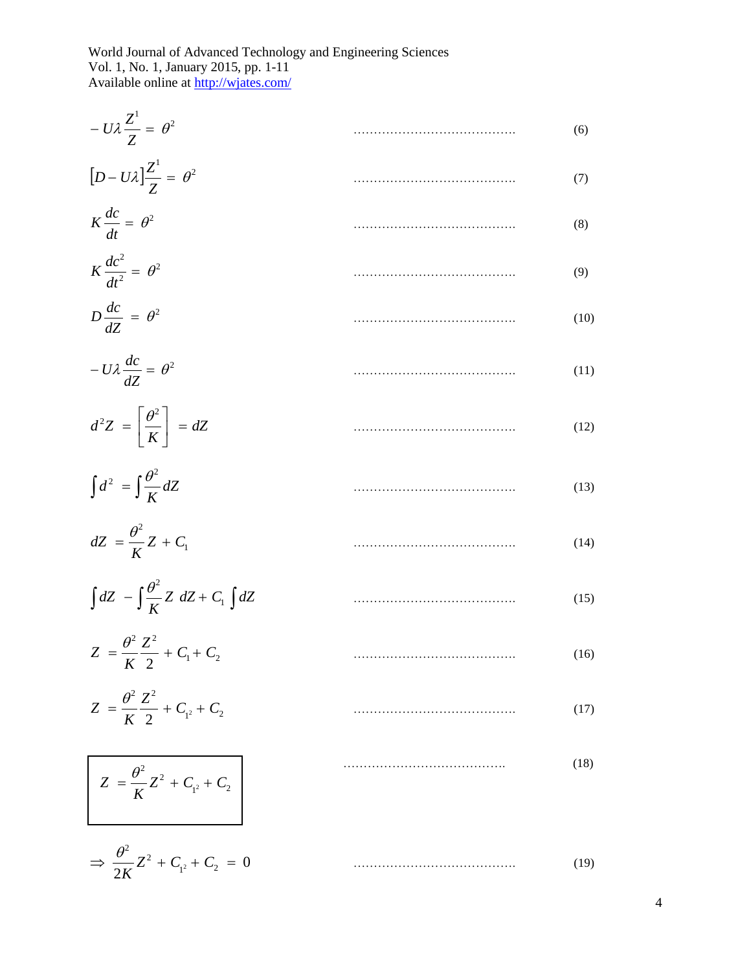| (6)  |
|------|
| (7)  |
| (8)  |
| (9)  |
| (10) |
| (11) |
| (12) |
| (13) |
| (14) |
| (15) |
| (16) |
| (17) |
| (18) |
|      |

0  $\overline{2K}$   $\overline{C}$  +  $C_{1^2}$  +  $C_2$ <sup>2</sup>  $\mathbf{z}^2$  $\Rightarrow \frac{6}{1}Z^2 + C_{12} + C_2 =$ *K*  $\theta$ …………………………………. (19)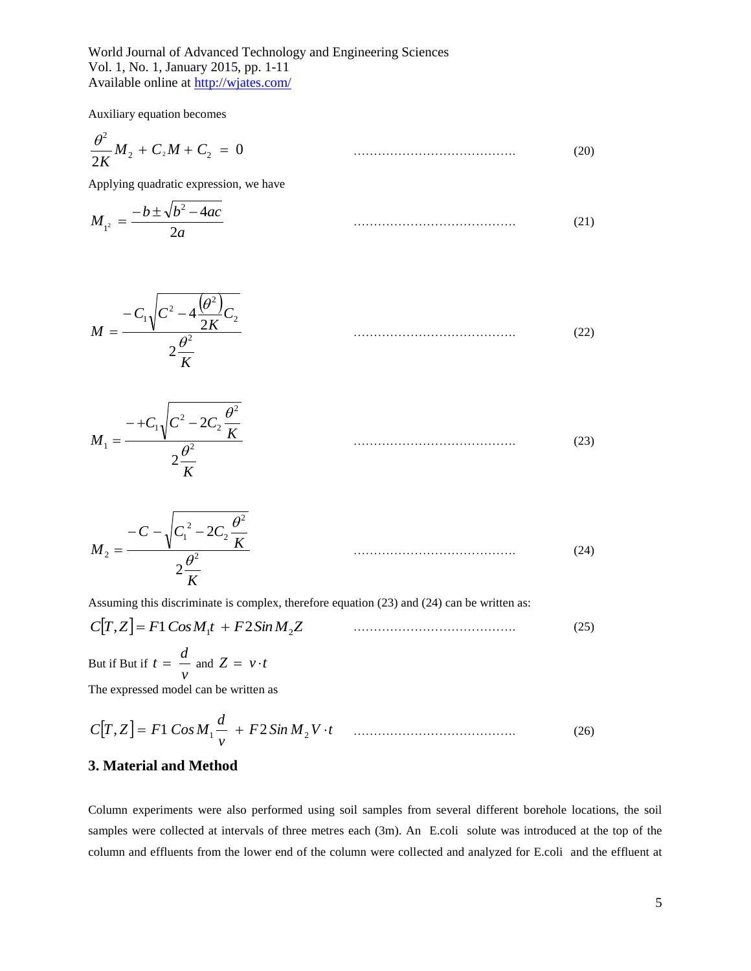Auxiliary equation becomes

$$
\frac{\theta^2}{2K}M_2 + C_2M + C_2 = 0 \tag{20}
$$

Applying quadratic expression, we have

$$
M_{1^2} = \frac{-b \pm \sqrt{b^2 - 4ac}}{2a} \tag{21}
$$

$$
M = \frac{-C_1 \sqrt{C^2 - 4\frac{(\theta^2)}{2K}C_2}}{2\frac{\theta^2}{K}}
$$
(22)

$$
M_1 = \frac{-+C_1\sqrt{C^2 - 2C_2\frac{\theta^2}{K}}}{2\frac{\theta^2}{K}}
$$
(23)

$$
M_2 = \frac{-C - \sqrt{C_1^2 - 2C_2 \frac{\theta^2}{K}}}{2\frac{\theta^2}{K}}
$$
(24)

Assuming this discriminate is complex, therefore equation (23) and (24) can be written as:

$$
C[T, Z] = F1 \cos M_1 t + F2 \sin M_2 Z \tag{25}
$$

But if But if  $t = \frac{w}{v}$  $t = \frac{d}{dx}$  and  $Z = v \cdot t$ 

The expressed model can be written as

$$
C[T, Z] = F1 \cos M_1 \frac{d}{v} + F2 \sin M_2 V \cdot t \qquad \qquad (26)
$$

## **3. Material and Method**

Column experiments were also performed using soil samples from several different borehole locations, the soil samples were collected at intervals of three metres each (3m). An E.coli solute was introduced at the top of the column and effluents from the lower end of the column were collected and analyzed for E.coli and the effluent at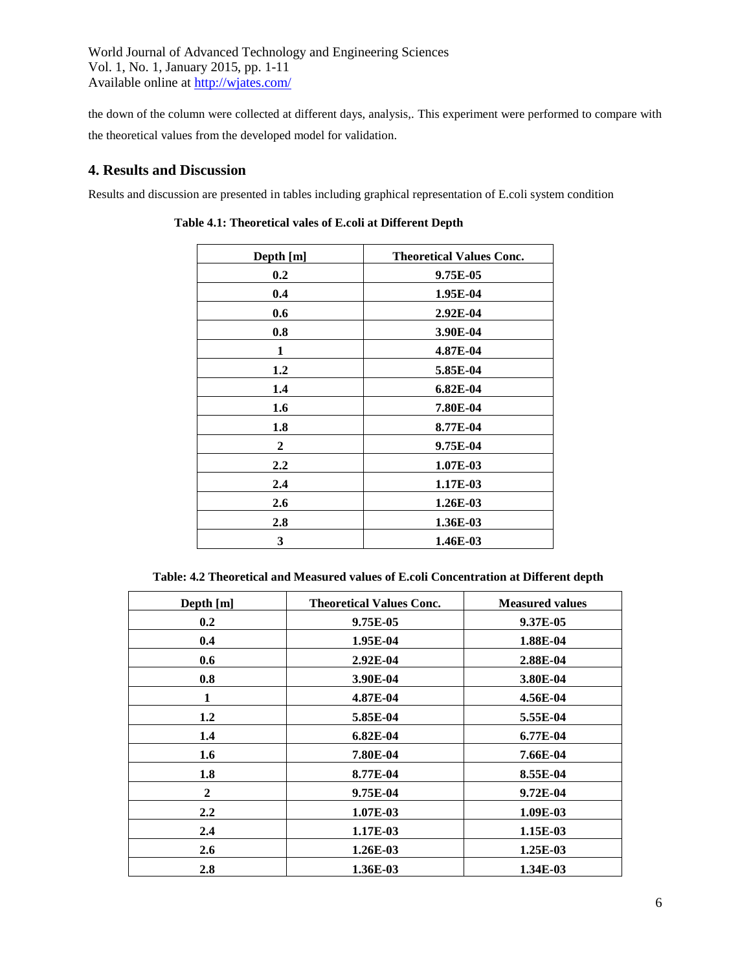the down of the column were collected at different days, analysis,. This experiment were performed to compare with the theoretical values from the developed model for validation.

# **4. Results and Discussion**

Results and discussion are presented in tables including graphical representation of E.coli system condition

| Depth [m]        | <b>Theoretical Values Conc.</b> |
|------------------|---------------------------------|
| 0.2              | 9.75E-05                        |
| 0.4              | 1.95E-04                        |
| 0.6              | 2.92E-04                        |
| 0.8              | 3.90E-04                        |
| 1                | 4.87E-04                        |
| 1.2              | 5.85E-04                        |
| 1.4              | 6.82E-04                        |
| 1.6              | 7.80E-04                        |
| 1.8              | 8.77E-04                        |
| $\mathbf{2}$     | 9.75E-04                        |
| $2.2\phantom{0}$ | 1.07E-03                        |
| 2.4              | 1.17E-03                        |
| 2.6              | 1.26E-03                        |
| 2.8              | 1.36E-03                        |
| 3                | 1.46E-03                        |

**Table 4.1: Theoretical vales of E.coli at Different Depth**

| Table: 4.2 Theoretical and Measured values of E.coli Concentration at Different depth |  |
|---------------------------------------------------------------------------------------|--|
|---------------------------------------------------------------------------------------|--|

| Depth [m]        | <b>Theoretical Values Conc.</b> | <b>Measured values</b> |
|------------------|---------------------------------|------------------------|
| 0.2              | 9.75E-05                        | 9.37E-05               |
| 0.4              | 1.95E-04                        | 1.88E-04               |
| 0.6              | 2.92E-04                        | 2.88E-04               |
| 0.8              | 3.90E-04                        | 3.80E-04               |
| 1                | 4.87E-04                        | 4.56E-04               |
| 1.2              | 5.85E-04                        | 5.55E-04               |
| 1.4              | 6.82E-04                        | 6.77E-04               |
| 1.6              | 7.80E-04                        | 7.66E-04               |
| 1.8              | 8.77E-04                        | 8.55E-04               |
| $\overline{2}$   | 9.75E-04                        | 9.72E-04               |
| $2.2\phantom{0}$ | 1.07E-03                        | 1.09E-03               |
| 2.4              | 1.17E-03                        | 1.15E-03               |
| 2.6              | 1.26E-03                        | $1.25E-03$             |
| 2.8              | 1.36E-03                        | 1.34E-03               |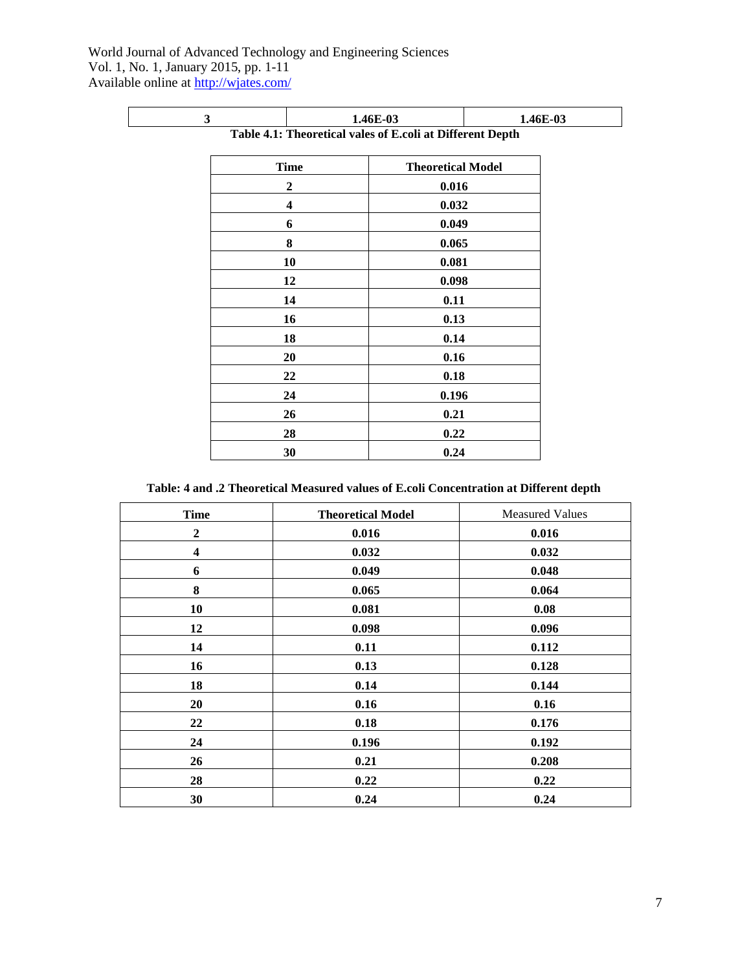| 3 |                | 1.46E-03                                                  | 1.46E-03 |
|---|----------------|-----------------------------------------------------------|----------|
|   |                | Table 4.1: Theoretical vales of E.coli at Different Depth |          |
|   | <b>Time</b>    | <b>Theoretical Model</b>                                  |          |
|   | $\overline{2}$ | 0.016                                                     |          |
|   | 4              | 0.032                                                     |          |
|   | 6              | 0.049                                                     |          |
|   | 8              | 0.065                                                     |          |
|   | 10             | 0.081                                                     |          |
|   | 12             | 0.098                                                     |          |
|   | 14             | 0.11                                                      |          |
|   | 16             | 0.13                                                      |          |
|   | 18             | 0.14                                                      |          |
|   | 20             | 0.16                                                      |          |
|   | 22             | 0.18                                                      |          |
|   | 24             | 0.196                                                     |          |
|   | 26             | 0.21                                                      |          |
|   | 28             | 0.22                                                      |          |
|   | 30             | 0.24                                                      |          |
|   |                |                                                           |          |

 **Table: 4 and .2 Theoretical Measured values of E.coli Concentration at Different depth**

| <b>Time</b>             | <b>Theoretical Model</b> | <b>Measured Values</b> |
|-------------------------|--------------------------|------------------------|
| $\boldsymbol{2}$        | 0.016                    | 0.016                  |
| $\overline{\mathbf{4}}$ | 0.032                    | 0.032                  |
| 6                       | 0.049                    | 0.048                  |
| 8                       | 0.065                    | 0.064                  |
| 10                      | 0.081                    | 0.08                   |
| 12                      | 0.098                    | 0.096                  |
| 14                      | 0.11                     | 0.112                  |
| 16                      | 0.13                     | 0.128                  |
| 18                      | 0.14                     | 0.144                  |
| 20                      | 0.16                     | 0.16                   |
| 22                      | 0.18                     | 0.176                  |
| 24                      | 0.196                    | 0.192                  |
| 26                      | 0.21                     | 0.208                  |
| 28                      | 0.22                     | 0.22                   |
| 30                      | 0.24                     | 0.24                   |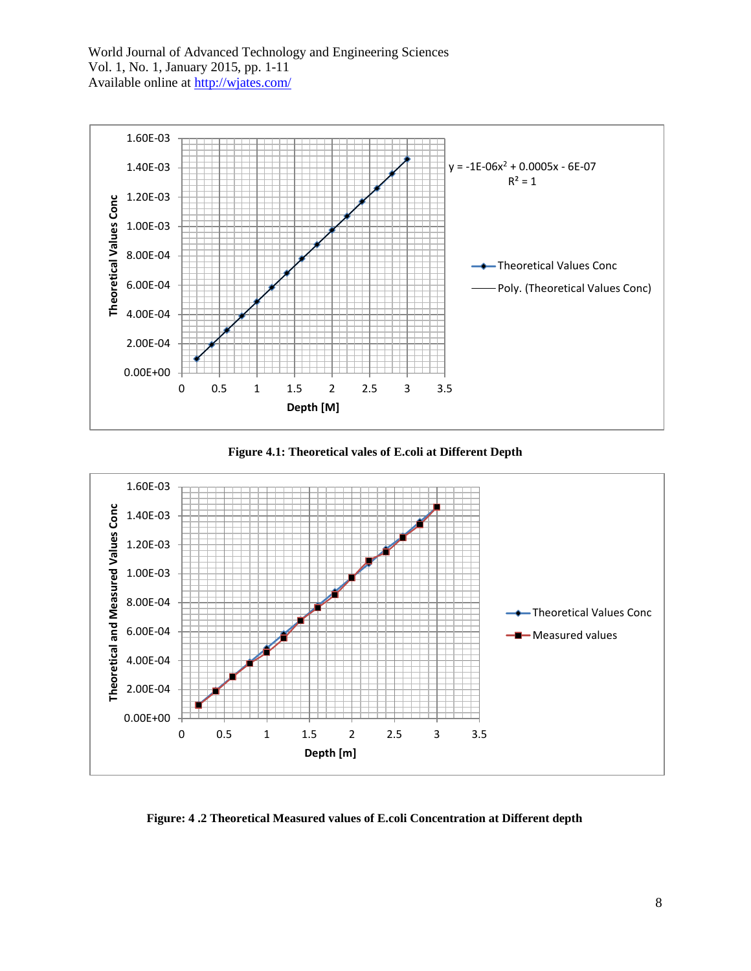





 **Figure: 4 .2 Theoretical Measured values of E.coli Concentration at Different depth**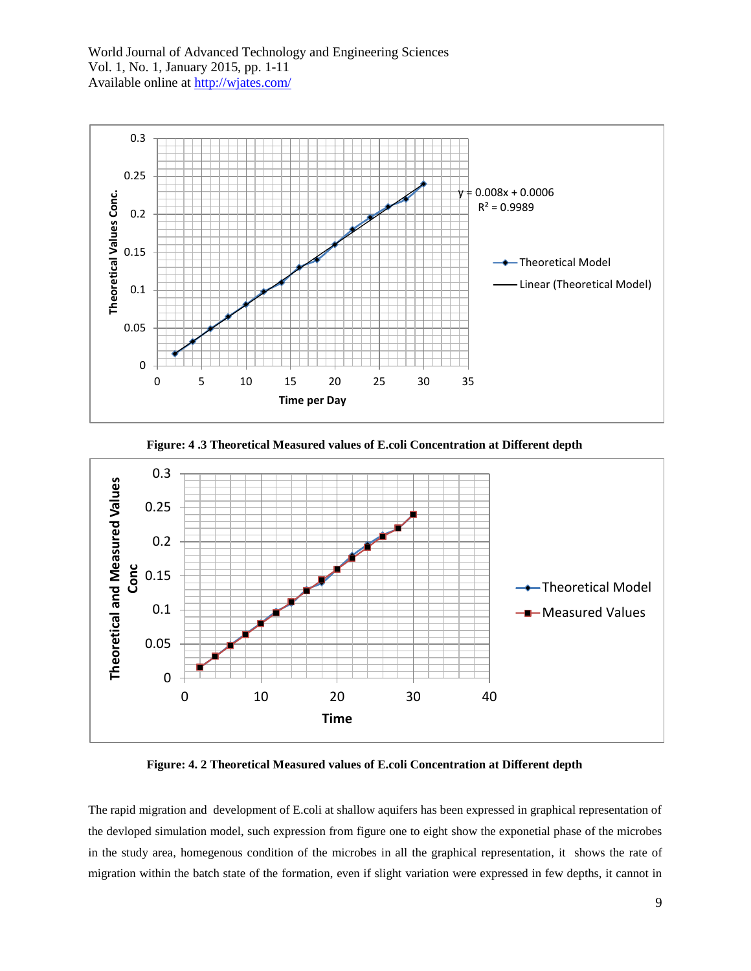

 **Figure: 4 .3 Theoretical Measured values of E.coli Concentration at Different depth**



 **Figure: 4. 2 Theoretical Measured values of E.coli Concentration at Different depth**

The rapid migration and development of E.coli at shallow aquifers has been expressed in graphical representation of the devloped simulation model, such expression from figure one to eight show the exponetial phase of the microbes in the study area, homegenous condition of the microbes in all the graphical representation, it shows the rate of migration within the batch state of the formation, even if slight variation were expressed in few depths, it cannot in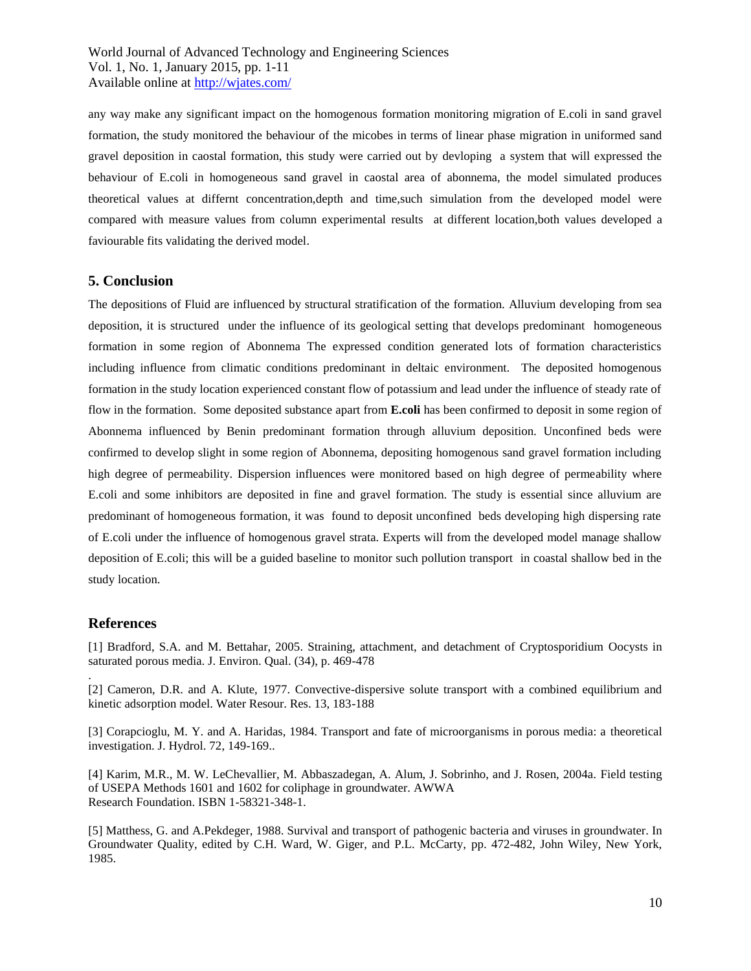any way make any significant impact on the homogenous formation monitoring migration of E.coli in sand gravel formation, the study monitored the behaviour of the micobes in terms of linear phase migration in uniformed sand gravel deposition in caostal formation, this study were carried out by devloping a system that will expressed the behaviour of E.coli in homogeneous sand gravel in caostal area of abonnema, the model simulated produces theoretical values at differnt concentration,depth and time,such simulation from the developed model were compared with measure values from column experimental results at different location,both values developed a faviourable fits validating the derived model.

#### **5. Conclusion**

The depositions of Fluid are influenced by structural stratification of the formation. Alluvium developing from sea deposition, it is structured under the influence of its geological setting that develops predominant homogeneous formation in some region of Abonnema The expressed condition generated lots of formation characteristics including influence from climatic conditions predominant in deltaic environment. The deposited homogenous formation in the study location experienced constant flow of potassium and lead under the influence of steady rate of flow in the formation. Some deposited substance apart from **E.coli** has been confirmed to deposit in some region of Abonnema influenced by Benin predominant formation through alluvium deposition. Unconfined beds were confirmed to develop slight in some region of Abonnema, depositing homogenous sand gravel formation including high degree of permeability. Dispersion influences were monitored based on high degree of permeability where E.coli and some inhibitors are deposited in fine and gravel formation. The study is essential since alluvium are predominant of homogeneous formation, it was found to deposit unconfined beds developing high dispersing rate of E.coli under the influence of homogenous gravel strata. Experts will from the developed model manage shallow deposition of E.coli; this will be a guided baseline to monitor such pollution transport in coastal shallow bed in the study location.

### **References**

.

[1] Bradford, S.A. and M. Bettahar, 2005. Straining, attachment, and detachment of Cryptosporidium Oocysts in saturated porous media. J. Environ. Qual. (34), p. 469-478

[2] Cameron, D.R. and A. Klute, 1977. Convective-dispersive solute transport with a combined equilibrium and kinetic adsorption model. Water Resour. Res. 13, 183-188

[3] Corapcioglu, M. Y. and A. Haridas, 1984. Transport and fate of microorganisms in porous media: a theoretical investigation. J. Hydrol. 72, 149-169..

[4] Karim, M.R., M. W. LeChevallier, M. Abbaszadegan, A. Alum, J. Sobrinho, and J. Rosen, 2004a. Field testing of USEPA Methods 1601 and 1602 for coliphage in groundwater. AWWA Research Foundation. ISBN 1-58321-348-1.

[5] Matthess, G. and A.Pekdeger, 1988. Survival and transport of pathogenic bacteria and viruses in groundwater. In Groundwater Quality, edited by C.H. Ward, W. Giger, and P.L. McCarty, pp. 472-482, John Wiley, New York, 1985.